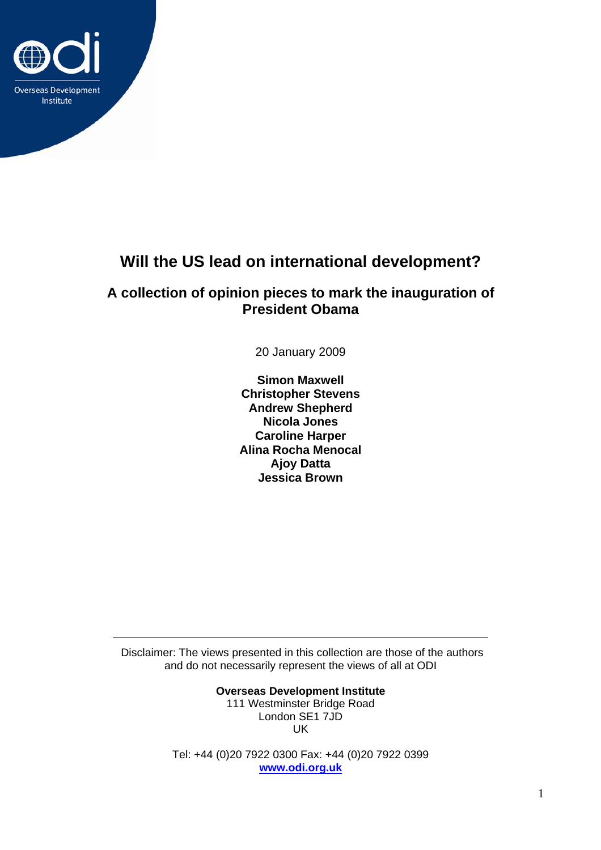

# **Will the US lead on international development?**

# **A collection of opinion pieces to mark the inauguration of President Obama**

20 January 2009

**Simon Maxwell Christopher Stevens Andrew Shepherd Nicola Jones Caroline Harper Alina Rocha Menocal Ajoy Datta Jessica Brown** 

 Disclaimer: The views presented in this collection are those of the authors and do not necessarily represent the views of all at ODI

> **Overseas Development Institute**  111 Westminster Bridge Road London SE1 7JD

UK

Tel: +44 (0)20 7922 0300 Fax: +44 (0)20 7922 0399 **[www.odi.org.uk](http://www.odi.org.uk/)**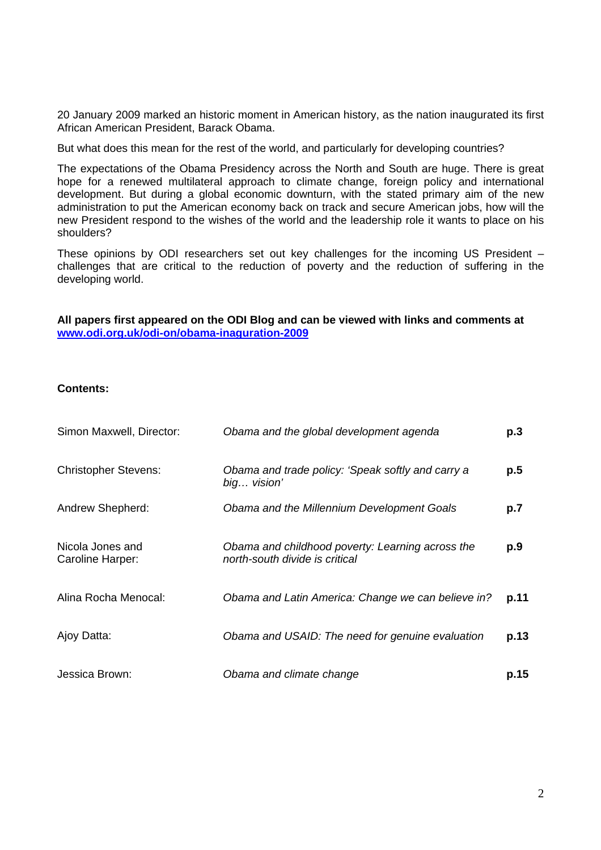20 January 2009 marked an historic moment in American history, as the nation inaugurated its first African American President, Barack Obama.

But what does this mean for the rest of the world, and particularly for developing countries?

The expectations of the Obama Presidency across the North and South are huge. There is great hope for a renewed multilateral approach to climate change, foreign policy and international development. But during a global economic downturn, with the stated primary aim of the new administration to put the American economy back on track and secure American jobs, how will the new President respond to the wishes of the world and the leadership role it wants to place on his shoulders?

These opinions by ODI researchers set out key challenges for the incoming US President – challenges that are critical to the reduction of poverty and the reduction of suffering in the developing world.

**All papers first appeared on the ODI Blog and can be viewed with links and comments at [www.odi.org.uk/odi-on/obama-inaguration-2009](http://www.odi.org.uk/odi-on/obama-inaguration-2009)** 

#### **Contents:**

| Simon Maxwell, Director:             | Obama and the global development agenda                                            | p.3  |
|--------------------------------------|------------------------------------------------------------------------------------|------|
| <b>Christopher Stevens:</b>          | Obama and trade policy: 'Speak softly and carry a<br>big vision'                   | p.5  |
| Andrew Shepherd:                     | Obama and the Millennium Development Goals                                         | p.7  |
| Nicola Jones and<br>Caroline Harper: | Obama and childhood poverty: Learning across the<br>north-south divide is critical | p.9  |
| Alina Rocha Menocal:                 | Obama and Latin America: Change we can believe in?                                 | p.11 |
| Ajoy Datta:                          | Obama and USAID: The need for genuine evaluation                                   | p.13 |
| Jessica Brown:                       | Obama and climate change                                                           | p.15 |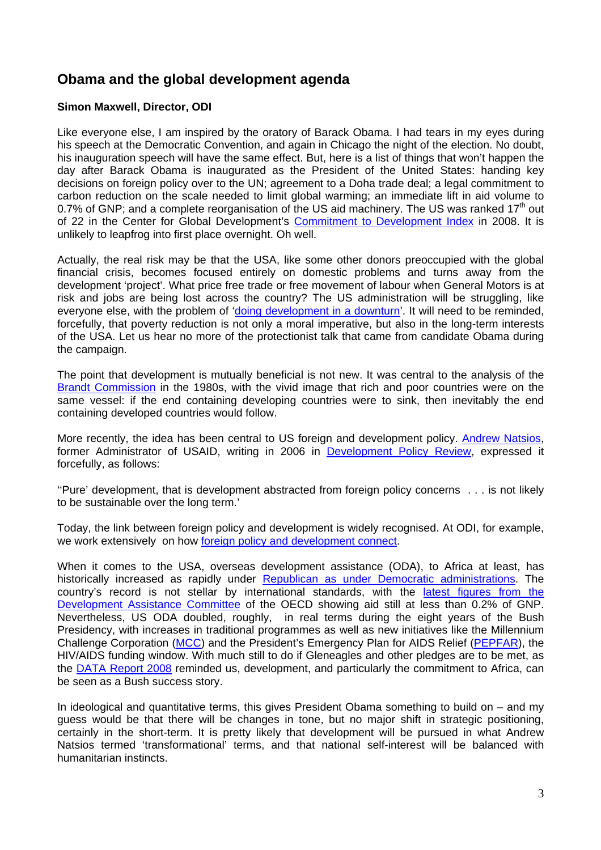# **Obama and the global development agenda**

#### **Simon Maxwell, Director, ODI**

Like everyone else, I am inspired by the oratory of Barack Obama. I had tears in my eyes during his speech at the Democratic Convention, and again in Chicago the night of the election. No doubt, his inauguration speech will have the same effect. But, here is a list of things that won't happen the day after Barack Obama is inaugurated as the President of the United States: handing key decisions on foreign policy over to the UN; agreement to a Doha trade deal; a legal commitment to carbon reduction on the scale needed to limit global warming; an immediate lift in aid volume to 0.7% of GNP; and a complete reorganisation of the US aid machinery. The US was ranked 17<sup>th</sup> out of 22 in the Center for Global Development's [Commitment to Development Index](http://www.cgdev.org/section/initiatives/_active/cdi/_non_flash/) in 2008. It is unlikely to leapfrog into first place overnight. Oh well.

Actually, the real risk may be that the USA, like some other donors preoccupied with the global financial crisis, becomes focused entirely on domestic problems and turns away from the development 'project'. What price free trade or free movement of labour when General Motors is at risk and jobs are being lost across the country? The US administration will be struggling, like everyone else, with the problem of ['doing development in a downturn](http://www.opendemocracy.net/article/development-in-a-downturn)'. It will need to be reminded, forcefully, that poverty reduction is not only a moral imperative, but also in the long-term interests of the USA. Let us hear no more of the protectionist talk that came from candidate Obama during the campaign.

The point that development is mutually beneficial is not new. It was central to the analysis of the [Brandt Commission](http://www.brandt21forum.info/) in the 1980s, with the vivid image that rich and poor countries were on the same vessel: if the end containing developing countries were to sink, then inevitably the end containing developed countries would follow.

More recently, the idea has been central to US foreign and development policy. [Andrew Natsios,](http://en.wikipedia.org/wiki/Andrew_Natsios) former Administrator of USAID, writing in 2006 in **[Development Policy Review](http://www3.interscience.wiley.com/cgi-bin/fulltext/118583591/PDFSTART)**, expressed it forcefully, as follows:

''Pure' development, that is development abstracted from foreign policy concerns . . . is not likely to be sustainable over the long term.'

Today, the link between foreign policy and development is widely recognised. At ODI, for example, we work extensively on how [foreign policy and development connect](http://www.odi.org.uk/resources/odi-publications/opinions/93-simon-maxwell-development-foreign-policy-connect.pdf).

When it comes to the USA, overseas development assistance (ODA), to Africa at least, has historically increased as rapidly under [Republican as under Democratic administrations](http://www.cgdev.org/content/publications/detail/2760). The country's record is not stellar by international standards, with the [latest figures from the](http://www.oecd.org/dataoecd/47/25/41724314.pdf)  [Development Assistance Committee](http://www.oecd.org/dataoecd/47/25/41724314.pdf) of the OECD showing aid still at less than 0.2% of GNP. Nevertheless, US ODA doubled, roughly, in real terms during the eight years of the Bush Presidency, with increases in traditional programmes as well as new initiatives like the Millennium Challenge Corporation [\(MCC](http://www.mcc.gov/)) and the President's Emergency Plan for AIDS Relief [\(PEPFAR](http://www.pepfar.gov/)), the HIV/AIDS funding window. With much still to do if Gleneagles and other pledges are to be met, as the [DATA Report 2008](http://www.one.org/report/en/index.html) reminded us, development, and particularly the commitment to Africa, can be seen as a Bush success story.

In ideological and quantitative terms, this gives President Obama something to build on  $-$  and my guess would be that there will be changes in tone, but no major shift in strategic positioning, certainly in the short-term. It is pretty likely that development will be pursued in what Andrew Natsios termed 'transformational' terms, and that national self-interest will be balanced with humanitarian instincts.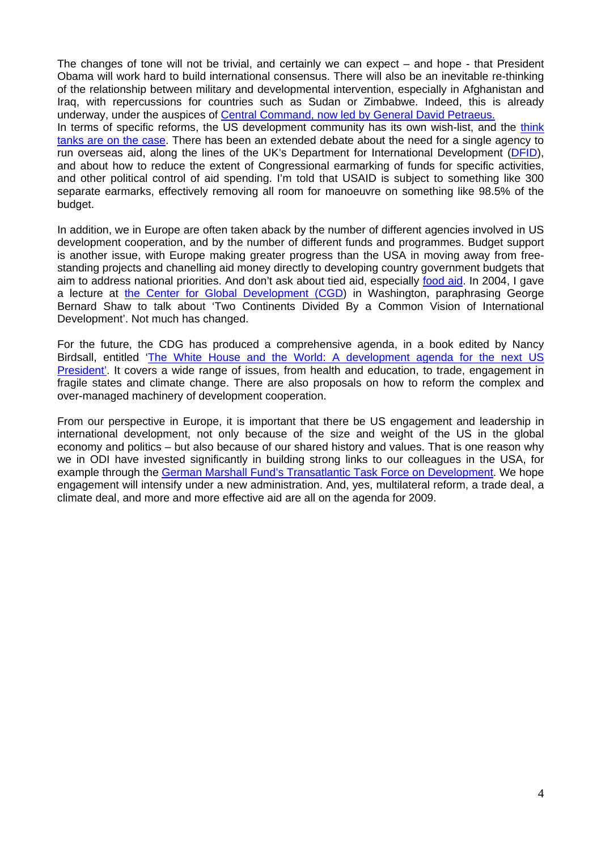The changes of tone will not be trivial, and certainly we can expect – and hope - that President Obama will work hard to build international consensus. There will also be an inevitable re-thinking of the relationship between military and developmental intervention, especially in Afghanistan and Iraq, with repercussions for countries such as Sudan or Zimbabwe. Indeed, this is already underway, under the auspices of [Central Command, now led by General David Petraeus.](http://www.washingtonpost.com/wp-dyn/content/story/2008/04/23/ST2008042302829.html) In terms of specific reforms, the US development community has its own wish-list, and the think [tanks are on the case.](http://blogs.cgdev.org/globaldevelopment/us_foreign_aid_reform/) There has been an extended debate about the need for a single agency to run overseas aid, along the lines of the UK's Department for International Development [\(DFID\)](http://www.dfid.gov.uk/), and about how to reduce the extent of Congressional earmarking of funds for specific activities, and other political control of aid spending. I'm told that USAID is subject to something like 300 separate earmarks, effectively removing all room for manoeuvre on something like 98.5% of the budget.

In addition, we in Europe are often taken aback by the number of different agencies involved in US development cooperation, and by the number of different funds and programmes. Budget support is another issue, with Europe making greater progress than the USA in moving away from freestanding projects and chanelling aid money directly to developing country government budgets that aim to address national priorities. And don't ask about tied aid, especially [food aid](http://www.oecdbookshop.org/oecd/display.asp?lang=en&sf1=DI&st1=5LGHCN0T64MX). In 2004, I gave a lecture at the Center for Global Development [\(CGD\)](http://www.cgdev.org/) in Washington, paraphrasing George Bernard Shaw to talk about 'Two Continents Divided By a Common Vision of International Development'. Not much has changed.

For the future, the CDG has produced a comprehensive agenda, in a book edited by Nancy Birdsall, entitled ['The White House and the World: A development agenda for the next US](http://www.cgdev.org/content/publications/detail/16560)  [President'.](http://www.cgdev.org/content/publications/detail/16560) It covers a wide range of issues, from health and education, to trade, engagement in fragile states and climate change. There are also proposals on how to reform the complex and over-managed machinery of development cooperation.

From our perspective in Europe, it is important that there be US engagement and leadership in international development, not only because of the size and weight of the US in the global economy and politics – but also because of our shared history and values. That is one reason why we in ODI have invested significantly in building strong links to our colleagues in the USA, for example through the [German Marshall Fund's Transatlantic Task Force on Development](http://www.sweden.gov.se/sb/d/10165/a/113096). We hope engagement will intensify under a new administration. And, yes, multilateral reform, a trade deal, a climate deal, and more and more effective aid are all on the agenda for 2009.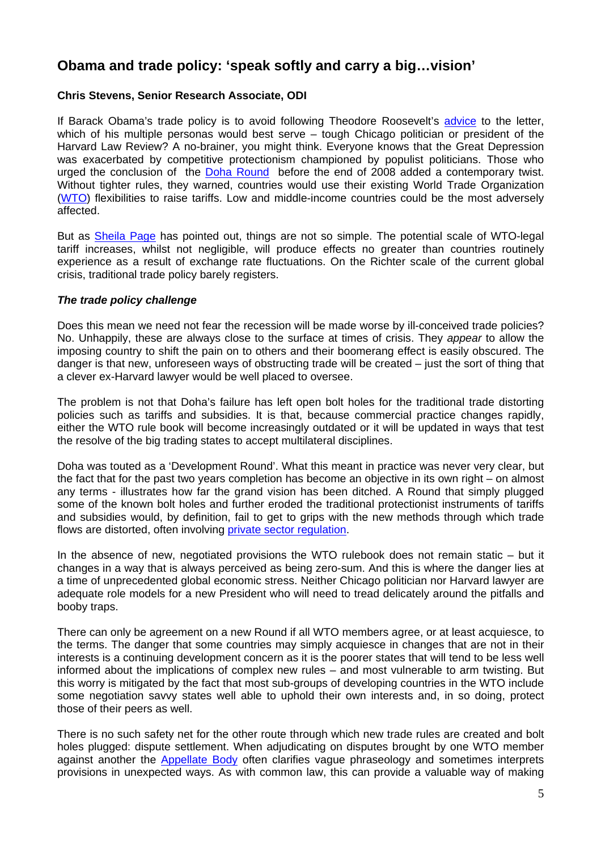# **Obama and trade policy: 'speak softly and carry a big…vision'**

### **Chris Stevens, Senior Research Associate, ODI**

If Barack Obama's trade policy is to avoid following Theodore Roosevelt's [advice](http://en.wikipedia.org/wiki/Big_Stick_Diplomacy) to the letter, which of his multiple personas would best serve – tough Chicago politician or president of the Harvard Law Review? A no-brainer, you might think. Everyone knows that the Great Depression was exacerbated by competitive protectionism championed by populist politicians. Those who urged the conclusion of the [Doha Round](http://www.wto.org/english/tratop_e/dda_e/dda_e.htm) before the end of 2008 added a contemporary twist. Without tighter rules, they warned, countries would use their existing World Trade Organization [\(WTO\)](http://www.wto.org/english) flexibilities to raise tariffs. Low and middle-income countries could be the most adversely affected.

But as [Sheila Page](http://www.odi.org.uk/resources/details.asp?id=2724&title=there-special-risks-trade-finance-2008-9-recession) has pointed out, things are not so simple. The potential scale of WTO-legal tariff increases, whilst not negligible, will produce effects no greater than countries routinely experience as a result of exchange rate fluctuations. On the Richter scale of the current global crisis, traditional trade policy barely registers.

#### *The trade policy challenge*

Does this mean we need not fear the recession will be made worse by ill-conceived trade policies? No. Unhappily, these are always close to the surface at times of crisis. They *appear* to allow the imposing country to shift the pain on to others and their boomerang effect is easily obscured. The danger is that new, unforeseen ways of obstructing trade will be created – just the sort of thing that a clever ex-Harvard lawyer would be well placed to oversee.

The problem is not that Doha's failure has left open bolt holes for the traditional trade distorting policies such as tariffs and subsidies. It is that, because commercial practice changes rapidly, either the WTO rule book will become increasingly outdated or it will be updated in ways that test the resolve of the big trading states to accept multilateral disciplines.

Doha was touted as a 'Development Round'. What this meant in practice was never very clear, but the fact that for the past two years completion has become an objective in its own right – on almost any terms - illustrates how far the grand vision has been ditched. A Round that simply plugged some of the known bolt holes and further eroded the traditional protectionist instruments of tariffs and subsidies would, by definition, fail to get to grips with the new methods through which trade flows are distorted, often involving [private sector regulation.](http://www.odi.org.uk/resources/odi-publications/working-papers/297-good-for-development-label-ethical-standards-trade-executive-summary.pdf)

In the absence of new, negotiated provisions the WTO rulebook does not remain static – but it changes in a way that is always perceived as being zero-sum. And this is where the danger lies at a time of unprecedented global economic stress. Neither Chicago politician nor Harvard lawyer are adequate role models for a new President who will need to tread delicately around the pitfalls and booby traps.

There can only be agreement on a new Round if all WTO members agree, or at least acquiesce, to the terms. The danger that some countries may simply acquiesce in changes that are not in their interests is a continuing development concern as it is the poorer states that will tend to be less well informed about the implications of complex new rules – and most vulnerable to arm twisting. But this worry is mitigated by the fact that most sub-groups of developing countries in the WTO include some negotiation savvy states well able to uphold their own interests and, in so doing, protect those of their peers as well.

There is no such safety net for the other route through which new trade rules are created and bolt holes plugged: dispute settlement. When adjudicating on disputes brought by one WTO member against another the [Appellate Body](http://www.wto.org/english/tratop_e/dispu_e/appellate_body_e.htm) often clarifies vague phraseology and sometimes interprets provisions in unexpected ways. As with common law, this can provide a valuable way of making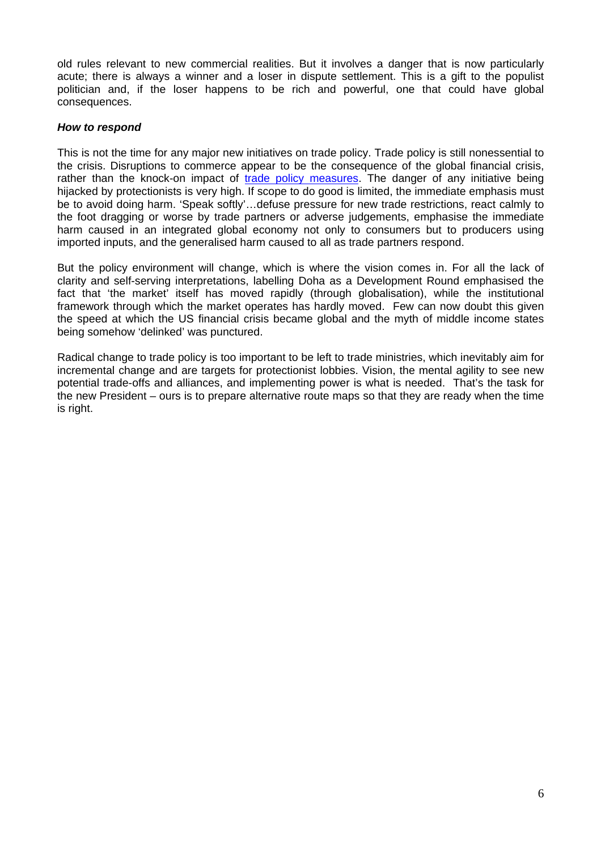old rules relevant to new commercial realities. But it involves a danger that is now particularly acute; there is always a winner and a loser in dispute settlement. This is a gift to the populist politician and, if the loser happens to be rich and powerful, one that could have global consequences.

### *How to respond*

This is not the time for any major new initiatives on trade policy. Trade policy is still nonessential to the crisis. Disruptions to commerce appear to be the consequence of the global financial crisis, rather than the knock-on impact of [trade policy measures.](http://www.odi.org.uk/resources/details.asp?id=2724&title=there-special-risks-trade-finance-2008-9-recession) The danger of any initiative being hijacked by protectionists is very high. If scope to do good is limited, the immediate emphasis must be to avoid doing harm. 'Speak softly'…defuse pressure for new trade restrictions, react calmly to the foot dragging or worse by trade partners or adverse judgements, emphasise the immediate harm caused in an integrated global economy not only to consumers but to producers using imported inputs, and the generalised harm caused to all as trade partners respond.

But the policy environment will change, which is where the vision comes in. For all the lack of clarity and self-serving interpretations, labelling Doha as a Development Round emphasised the fact that 'the market' itself has moved rapidly (through globalisation), while the institutional framework through which the market operates has hardly moved. Few can now doubt this given the speed at which the US financial crisis became global and the myth of middle income states being somehow 'delinked' was punctured.

Radical change to trade policy is too important to be left to trade ministries, which inevitably aim for incremental change and are targets for protectionist lobbies. Vision, the mental agility to see new potential trade-offs and alliances, and implementing power is what is needed. That's the task for the new President – ours is to prepare alternative route maps so that they are ready when the time is right.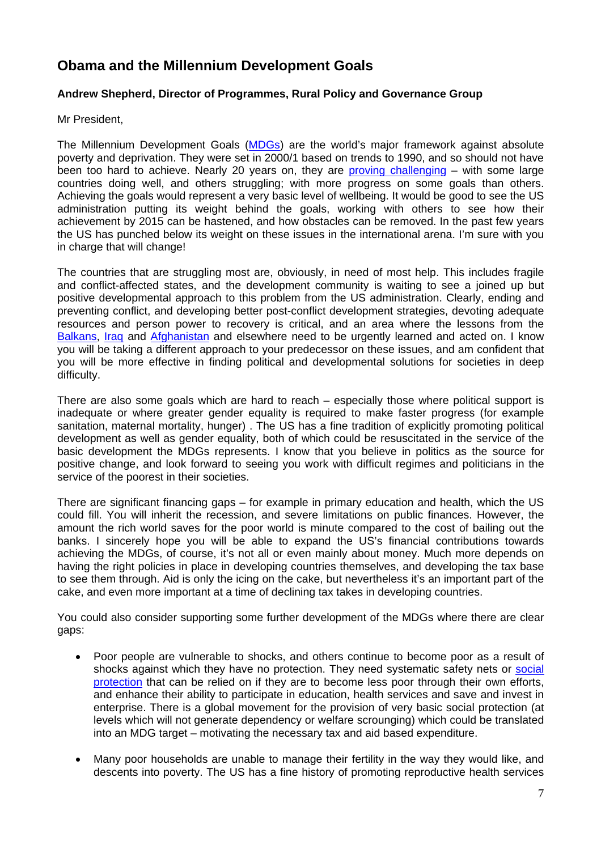# **Obama and the Millennium Development Goals**

### **Andrew Shepherd, Director of Programmes, Rural Policy and Governance Group**

Mr President,

The Millennium Development Goals [\(MDGs](http://www.un.org/millenniumgoals)) are the world's major framework against absolute poverty and deprivation. They were set in 2000/1 based on trends to 1990, and so should not have been too hard to achieve. Nearly 20 years on, they are [proving challenging](http://www.odi.org.uk/resources/odi-publications/annual-report/2008-article-mdgs.pdf) – with some large countries doing well, and others struggling; with more progress on some goals than others. Achieving the goals would represent a very basic level of wellbeing. It would be good to see the US administration putting its weight behind the goals, working with others to see how their achievement by 2015 can be hastened, and how obstacles can be removed. In the past few years the US has punched below its weight on these issues in the international arena. I'm sure with you in charge that will change!

The countries that are struggling most are, obviously, in need of most help. This includes fragile and conflict-affected states, and the development community is waiting to see a joined up but positive developmental approach to this problem from the US administration. Clearly, ending and preventing conflict, and developing better post-conflict development strategies, devoting adequate resources and person power to recovery is critical, and an area where the lessons from the [Balkans,](http://en.wikipedia.org/wiki/Yugoslav_wars) [Iraq](http://en.wikipedia.org/wiki/Iraq_War) and [Afghanistan](http://uk.reuters.com/article/usPoliticsNews/idUKTRE50C1B620090113) and elsewhere need to be urgently learned and acted on. I know you will be taking a different approach to your predecessor on these issues, and am confident that you will be more effective in finding political and developmental solutions for societies in deep difficulty.

There are also some goals which are hard to reach – especially those where political support is inadequate or where greater gender equality is required to make faster progress (for example sanitation, maternal mortality, hunger) . The US has a fine tradition of explicitly promoting political development as well as gender equality, both of which could be resuscitated in the service of the basic development the MDGs represents. I know that you believe in politics as the source for positive change, and look forward to seeing you work with difficult regimes and politicians in the service of the poorest in their societies.

There are significant financing gaps – for example in primary education and health, which the US could fill. You will inherit the recession, and severe limitations on public finances. However, the amount the rich world saves for the poor world is minute compared to the cost of bailing out the banks. I sincerely hope you will be able to expand the US's financial contributions towards achieving the MDGs, of course, it's not all or even mainly about money. Much more depends on having the right policies in place in developing countries themselves, and developing the tax base to see them through. Aid is only the icing on the cake, but nevertheless it's an important part of the cake, and even more important at a time of declining tax takes in developing countries.

You could also consider supporting some further development of the MDGs where there are clear gaps:

- Poor people are vulnerable to shocks, and others continue to become poor as a result of shocks against which they have no protection. They need systematic safety nets or [social](http://www.odi.org.uk/themes/social-protection/index.asp)  [protection](http://www.odi.org.uk/themes/social-protection/index.asp) that can be relied on if they are to become less poor through their own efforts, and enhance their ability to participate in education, health services and save and invest in enterprise. There is a global movement for the provision of very basic social protection (at levels which will not generate dependency or welfare scrounging) which could be translated into an MDG target – motivating the necessary tax and aid based expenditure.
- Many poor households are unable to manage their fertility in the way they would like, and descents into poverty. The US has a fine history of promoting reproductive health services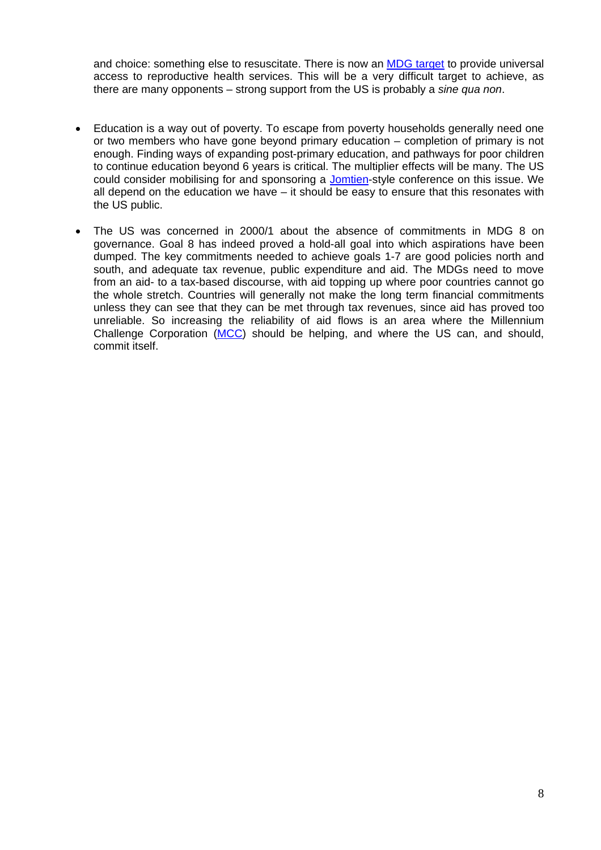and choice: something else to resuscitate. There is now an MDG target to provide universal access to reproductive health services. This will be a very difficult target to achieve, as there are many opponents – strong support from the US is probably a *sine qua non*.

- Education is a way out of poverty. To escape from poverty households generally need one or two members who have gone beyond primary education – completion of primary is not enough. Finding ways of expanding post-primary education, and pathways for poor children to continue education beyond 6 years is critical. The multiplier effects will be many. The US could consider mobilising for and sponsoring a [Jomtien-](http://portal.unesco.org/education/en/ev.php-URL_ID=37612&URL_DO=DO_TOPIC&URL_SECTION=201.html)style conference on this issue. We all depend on the education we have – it should be easy to ensure that this resonates with the US public.
- The US was concerned in 2000/1 about the absence of commitments in MDG 8 on governance. Goal 8 has indeed proved a hold-all goal into which aspirations have been dumped. The key commitments needed to achieve goals 1-7 are good policies north and south, and adequate tax revenue, public expenditure and aid. The MDGs need to move from an aid- to a tax-based discourse, with aid topping up where poor countries cannot go the whole stretch. Countries will generally not make the long term financial commitments unless they can see that they can be met through tax revenues, since aid has proved too unreliable. So increasing the reliability of aid flows is an area where the Millennium Challenge Corporation [\(MCC](http://www.mcc.gov/)) should be helping, and where the US can, and should, commit itself.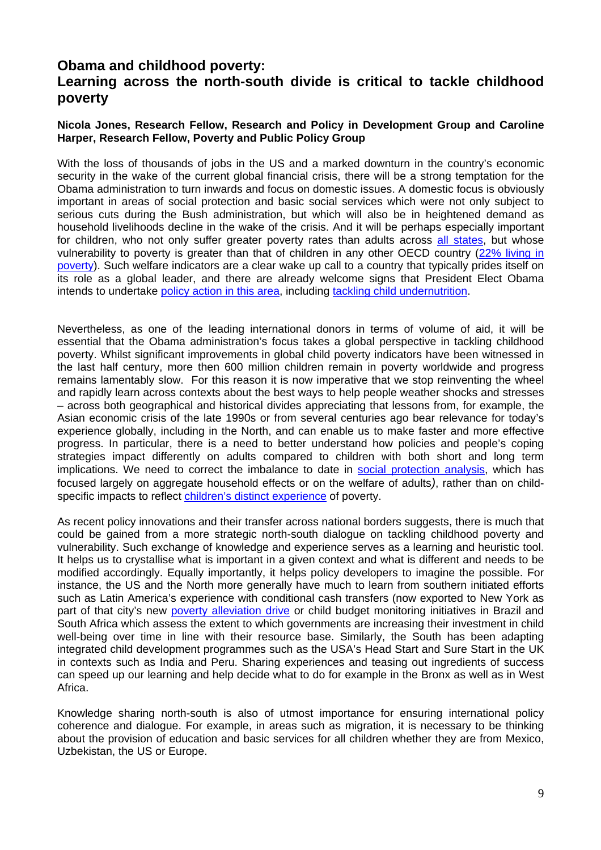## **Obama and childhood poverty: Learning across the north-south divide is critical to tackle childhood poverty**

### **Nicola Jones, Research Fellow, Research and Policy in Development Group and Caroline Harper, Research Fellow, Poverty and Public Policy Group**

With the loss of thousands of jobs in the US and a marked downturn in the country's economic security in the wake of the current global financial crisis, there will be a strong temptation for the Obama administration to turn inwards and focus on domestic issues. A domestic focus is obviously important in areas of social protection and basic social services which were not only subject to serious cuts during the Bush administration, but which will also be in heightened demand as household livelihoods decline in the wake of the crisis. And it will be perhaps especially important for children, who not only suffer greater poverty rates than adults across [all states](http://www.nccp.org/publications/pub_851.html), but whose vulnerability to poverty is greater than that of children in any other OECD country [\(22% living in](http://www.unicef-irc.org/publications/pdf/rc7_eng.pdf)  [poverty\)](http://www.unicef-irc.org/publications/pdf/rc7_eng.pdf). Such welfare indicators are a clear wake up call to a country that typically prides itself on its role as a global leader, and there are already welcome signs that President Elect Obama intends to undertake [policy action in this area,](http://www.crin.org/resources/infoDetail.asp?ID=18874&flag=news;) including [tackling child undernutrition.](http://obama.3cdn.net/c4b14802fd5e66ee67_xum6bn6nu.pdf)

Nevertheless, as one of the leading international donors in terms of volume of aid, it will be essential that the Obama administration's focus takes a global perspective in tackling childhood poverty. Whilst significant improvements in global child poverty indicators have been witnessed in the last half century, more then 600 million children remain in poverty worldwide and progress remains lamentably slow. For this reason it is now imperative that we stop reinventing the wheel and rapidly learn across contexts about the best ways to help people weather shocks and stresses – across both geographical and historical divides appreciating that lessons from, for example, the Asian economic crisis of the late 1990s or from several centuries ago bear relevance for today's experience globally, including in the North, and can enable us to make faster and more effective progress. In particular, there is a need to better understand how policies and people's coping strategies impact differently on adults compared to children with both short and long term implications. We need to correct the imbalance to date in [social protection analysis](https://cms.ids.ac.uk/UserFiles/file/poverty_team/unicef/CSSP.ppt), which has focused largely on aggregate household effects or on the welfare of adults*)*, rather than on childspecific impacts to reflect [children's distinct experience](http://www.welldev.org.uk/research/workingpaperpdf/wp40.pdf) of poverty.

As recent policy innovations and their transfer across national borders suggests, there is much that could be gained from a more strategic north-south dialogue on tackling childhood poverty and vulnerability. Such exchange of knowledge and experience serves as a learning and heuristic tool. It helps us to crystallise what is important in a given context and what is different and needs to be modified accordingly. Equally importantly, it helps policy developers to imagine the possible. For instance, the US and the North more generally have much to learn from southern initiated efforts such as Latin America's experience with conditional cash transfers (now exported to New York as part of that city's new [poverty alleviation drive](http://www.undp-povertycentre.org/pub/IPCOnePager60.pdf) or child budget monitoring initiatives in Brazil and South Africa which assess the extent to which governments are increasing their investment in child well-being over time in line with their resource base. Similarly, the South has been adapting integrated child development programmes such as the USA's Head Start and Sure Start in the UK in contexts such as India and Peru. Sharing experiences and teasing out ingredients of success can speed up our learning and help decide what to do for example in the Bronx as well as in West Africa.

Knowledge sharing north-south is also of utmost importance for ensuring international policy coherence and dialogue. For example, in areas such as migration, it is necessary to be thinking about the provision of education and basic services for all children whether they are from Mexico, Uzbekistan, the US or Europe.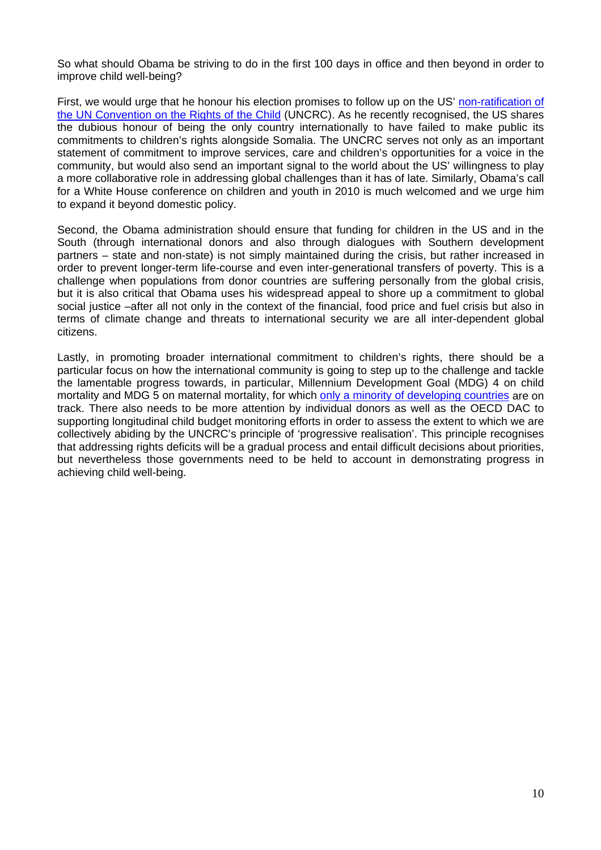So what should Obama be striving to do in the first 100 days in office and then beyond in order to improve child well-being?

First, we would urge that he honour his election promises to follow up on the US' [non-ratification of](http://www.odi.org.uk/resources/details.asp?id=2500&title=childrens-rights-invisible)  [the UN Convention on the Rights of the Child](http://www.odi.org.uk/resources/details.asp?id=2500&title=childrens-rights-invisible) (UNCRC). As he recently recognised, the US shares the dubious honour of being the only country internationally to have failed to make public its commitments to children's rights alongside Somalia. The UNCRC serves not only as an important statement of commitment to improve services, care and children's opportunities for a voice in the community, but would also send an important signal to the world about the US' willingness to play a more collaborative role in addressing global challenges than it has of late. Similarly, Obama's call for a White House conference on children and youth in 2010 is much welcomed and we urge him to expand it beyond domestic policy.

Second, the Obama administration should ensure that funding for children in the US and in the South (through international donors and also through dialogues with Southern development partners – state and non-state) is not simply maintained during the crisis, but rather increased in order to prevent longer-term life-course and even inter-generational transfers of poverty. This is a challenge when populations from donor countries are suffering personally from the global crisis, but it is also critical that Obama uses his widespread appeal to shore up a commitment to global social justice –after all not only in the context of the financial, food price and fuel crisis but also in terms of climate change and threats to international security we are all inter-dependent global citizens.

Lastly, in promoting broader international commitment to children's rights, there should be a particular focus on how the international community is going to step up to the challenge and tackle the lamentable progress towards, in particular, Millennium Development Goal (MDG) 4 on child mortality and MDG 5 on maternal mortality, for which [only a minority of developing countries](http://www.countdown2015mnch.org/documents/2008report/2008report_intro.pdf) are on track. There also needs to be more attention by individual donors as well as the OECD DAC to supporting longitudinal child budget monitoring efforts in order to assess the extent to which we are collectively abiding by the UNCRC's principle of 'progressive realisation'. This principle recognises that addressing rights deficits will be a gradual process and entail difficult decisions about priorities, but nevertheless those governments need to be held to account in demonstrating progress in achieving child well-being.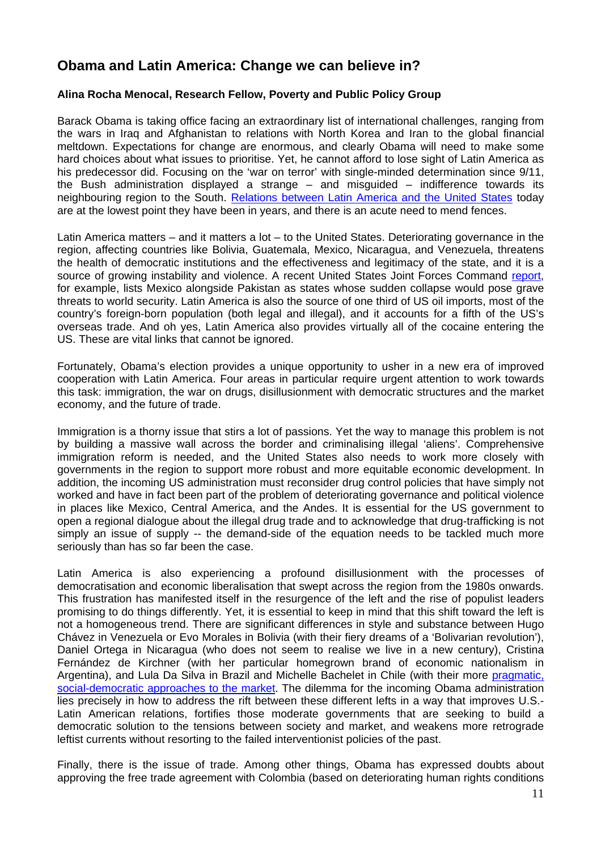# **Obama and Latin America: Change we can believe in?**

### **Alina Rocha Menocal, Research Fellow, Poverty and Public Policy Group**

Barack Obama is taking office facing an extraordinary list of international challenges, ranging from the wars in Iraq and Afghanistan to relations with North Korea and Iran to the global financial meltdown. Expectations for change are enormous, and clearly Obama will need to make some hard choices about what issues to prioritise. Yet, he cannot afford to lose sight of Latin America as his predecessor did. Focusing on the 'war on terror' with single-minded determination since 9/11, the Bush administration displayed a strange – and misguided – indifference towards its neighbouring region to the South. [Relations between Latin America and the United States](http://www.foreignaffairs.org/20060101faessay85105/peter-hakim/is-washington-losing-latin-america.html?mode=print) today are at the lowest point they have been in years, and there is an acute need to mend fences.

Latin America matters – and it matters a lot – to the United States. Deteriorating governance in the region, affecting countries like Bolivia, Guatemala, Mexico, Nicaragua, and Venezuela, threatens the health of democratic institutions and the effectiveness and legitimacy of the state, and it is a source of growing instability and violence. A recent United States Joint Forces Command [report](http://www.iht.com/articles/2009/01/09/news/letter.php), for example, lists Mexico alongside Pakistan as states whose sudden collapse would pose grave threats to world security. Latin America is also the source of one third of US oil imports, most of the country's foreign-born population (both legal and illegal), and it accounts for a fifth of the US's overseas trade. And oh yes, Latin America also provides virtually all of the cocaine entering the US. These are vital links that cannot be ignored.

Fortunately, Obama's election provides a unique opportunity to usher in a new era of improved cooperation with Latin America. Four areas in particular require urgent attention to work towards this task: immigration, the war on drugs, disillusionment with democratic structures and the market economy, and the future of trade.

Immigration is a thorny issue that stirs a lot of passions. Yet the way to manage this problem is not by building a massive wall across the border and criminalising illegal 'aliens'. Comprehensive immigration reform is needed, and the United States also needs to work more closely with governments in the region to support more robust and more equitable economic development. In addition, the incoming US administration must reconsider drug control policies that have simply not worked and have in fact been part of the problem of deteriorating governance and political violence in places like Mexico, Central America, and the Andes. It is essential for the US government to open a regional dialogue about the illegal drug trade and to acknowledge that drug-trafficking is not simply an issue of supply -- the demand-side of the equation needs to be tackled much more seriously than has so far been the case.

Latin America is also experiencing a profound disillusionment with the processes of democratisation and economic liberalisation that swept across the region from the 1980s onwards. This frustration has manifested itself in the resurgence of the left and the rise of populist leaders promising to do things differently. Yet, it is essential to keep in mind that this shift toward the left is not a homogeneous trend. There are significant differences in style and substance between Hugo Chávez in Venezuela or Evo Morales in Bolivia (with their fiery dreams of a 'Bolivarian revolution'), Daniel Ortega in Nicaragua (who does not seem to realise we live in a new century), Cristina Fernández de Kirchner (with her particular homegrown brand of economic nationalism in Argentina), and Lula Da Silva in Brazil and Michelle Bachelet in Chile (with their more [pragmatic,](http://www.odi.org.uk/resources/odi-publications/opinions/68-alina-rocha-menocal-latin-america-reconciling-democracy-market.pdf)  [social-democratic approaches to the market.](http://www.odi.org.uk/resources/odi-publications/opinions/68-alina-rocha-menocal-latin-america-reconciling-democracy-market.pdf) The dilemma for the incoming Obama administration lies precisely in how to address the rift between these different lefts in a way that improves U.S.- Latin American relations, fortifies those moderate governments that are seeking to build a democratic solution to the tensions between society and market, and weakens more retrograde leftist currents without resorting to the failed interventionist policies of the past.

Finally, there is the issue of trade. Among other things, Obama has expressed doubts about approving the free trade agreement with Colombia (based on deteriorating human rights conditions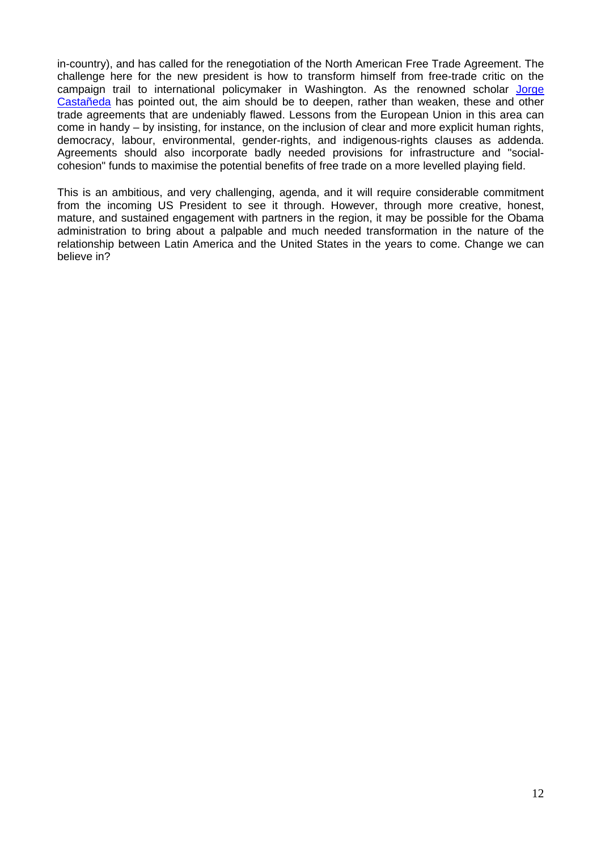in-country), and has called for the renegotiation of the North American Free Trade Agreement. The challenge here for the new president is how to transform himself from free-trade critic on the campaign trail to international policymaker in Washington. As the renowned scholar Jorge [Castañeda](http://www.foreignaffairs.org/20080901faessay87509/jorge-g-castaneda/morning-in-latin-america.html?mode=print) has pointed out, the aim should be to deepen, rather than weaken, these and other trade agreements that are undeniably flawed. Lessons from the European Union in this area can come in handy – by insisting, for instance, on the inclusion of clear and more explicit human rights, democracy, labour, environmental, gender-rights, and indigenous-rights clauses as addenda. Agreements should also incorporate badly needed provisions for infrastructure and "socialcohesion" funds to maximise the potential benefits of free trade on a more levelled playing field.

This is an ambitious, and very challenging, agenda, and it will require considerable commitment from the incoming US President to see it through. However, through more creative, honest, mature, and sustained engagement with partners in the region, it may be possible for the Obama administration to bring about a palpable and much needed transformation in the nature of the relationship between Latin America and the United States in the years to come. Change we can believe in?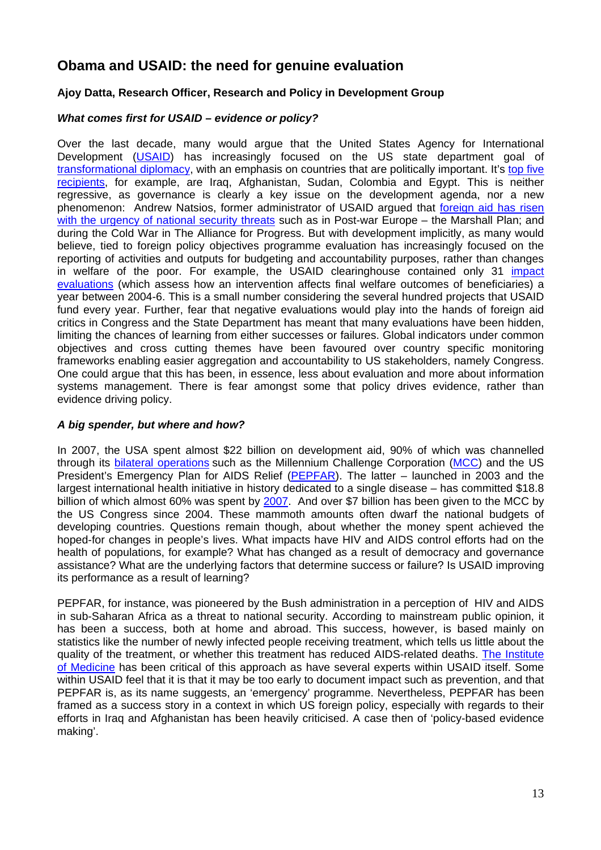# **Obama and USAID: the need for genuine evaluation**

### **Ajoy Datta, Research Officer, Research and Policy in Development Group**

### *What comes first for USAID – evidence or policy?*

Over the last decade, many would argue that the United States Agency for International Development [\(USAID\)](http://www.usaid.gov/) has increasingly focused on the US state department goal of [transformational diplomacy](http://www.state.gov/r/pa/prs/ps/2006/59339.htm), with an emphasis on countries that are politically important. It's [top five](http://www.oecd.org/dataoecd/42/30/41732048.jpg)  [recipients,](http://www.oecd.org/dataoecd/42/30/41732048.jpg) for example, are Iraq, Afghanistan, Sudan, Colombia and Egypt. This is neither regressive, as governance is clearly a key issue on the development agenda, nor a new phenomenon: Andrew Natsios, former administrator of USAID argued that [foreign aid has risen](http://www.odi.org.uk/events/apgood/apgood_oct12/HLnatsios.pdf)  [with the urgency of national security threats](http://www.odi.org.uk/events/apgood/apgood_oct12/HLnatsios.pdf) such as in Post-war Europe – the Marshall Plan; and during the Cold War in The Alliance for Progress. But with development implicitly, as many would believe, tied to foreign policy objectives programme evaluation has increasingly focused on the reporting of activities and outputs for budgeting and accountability purposes, rather than changes in welfare of the poor. For example, the USAID clearinghouse contained only 31 [impact](http://web.worldbank.org/WBSITE/EXTERNAL/TOPICS/EXTPOVERTY/EXTISPMA/0,,menuPK:384336%7EpagePK:149018%7EpiPK:149093%7EtheSitePK:384329,00.html)  [evaluations](http://web.worldbank.org/WBSITE/EXTERNAL/TOPICS/EXTPOVERTY/EXTISPMA/0,,menuPK:384336%7EpagePK:149018%7EpiPK:149093%7EtheSitePK:384329,00.html) (which assess how an intervention affects final welfare outcomes of beneficiaries) a year between 2004-6. This is a small number considering the several hundred projects that USAID fund every year. Further, fear that negative evaluations would play into the hands of foreign aid critics in Congress and the State Department has meant that many evaluations have been hidden, limiting the chances of learning from either successes or failures. Global indicators under common objectives and cross cutting themes have been favoured over country specific monitoring frameworks enabling easier aggregation and accountability to US stakeholders, namely Congress. One could argue that this has been, in essence, less about evaluation and more about information systems management. There is fear amongst some that policy drives evidence, rather than evidence driving policy.

### *A big spender, but where and how?*

In 2007, the USA spent almost \$22 billion on development aid, 90% of which was channelled through its [bilateral operations](http://www.oecd.org/dataoecd/42/30/41732048.jpg) such as the Millennium Challenge Corporation ([MCC\)](http://www.mcc.gov/) and the US President's Emergency Plan for AIDS Relief [\(PEPFAR](http://www.pepfar.gov/)). The latter – launched in 2003 and the largest international health initiative in history dedicated to a single disease – has committed \$18.8 billion of which almost 60% was spent by [2007](http://www.pepfar.gov/press/fourth_annual_report/99738.htm). And over \$7 billion has been given to the MCC by the US Congress since 2004. These mammoth amounts often dwarf the national budgets of developing countries. Questions remain though, about whether the money spent achieved the hoped-for changes in people's lives. What impacts have HIV and AIDS control efforts had on the health of populations, for example? What has changed as a result of democracy and governance assistance? What are the underlying factors that determine success or failure? Is USAID improving its performance as a result of learning?

PEPFAR, for instance, was pioneered by the Bush administration in a perception of HIV and AIDS in sub-Saharan Africa as a threat to national security. According to mainstream public opinion, it has been a success, both at home and abroad. This success, however, is based mainly on statistics like the number of newly infected people receiving treatment, which tells us little about the quality of the treatment, or whether this treatment has reduced AIDS-related deaths. [The Institute](http://www.iom.edu/)  [of Medicine](http://www.iom.edu/) has been critical of this approach as have several experts within USAID itself. Some within USAID feel that it is that it may be too early to document impact such as prevention, and that PEPFAR is, as its name suggests, an 'emergency' programme. Nevertheless, PEPFAR has been framed as a success story in a context in which US foreign policy, especially with regards to their efforts in Iraq and Afghanistan has been heavily criticised. A case then of 'policy-based evidence making'.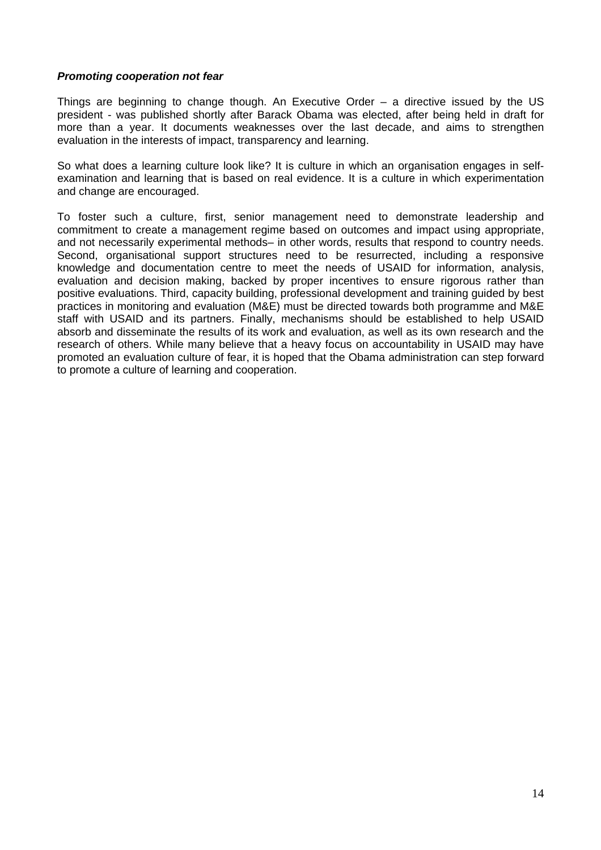#### *Promoting cooperation not fear*

Things are beginning to change though. An Executive Order – a directive issued by the US president - was published shortly after Barack Obama was elected, after being held in draft for more than a year. It documents weaknesses over the last decade, and aims to strengthen evaluation in the interests of impact, transparency and learning.

So what does a learning culture look like? It is culture in which an organisation engages in selfexamination and learning that is based on real evidence. It is a culture in which experimentation and change are encouraged.

To foster such a culture, first, senior management need to demonstrate leadership and commitment to create a management regime based on outcomes and impact using appropriate, and not necessarily experimental methods– in other words, results that respond to country needs. Second, organisational support structures need to be resurrected, including a responsive knowledge and documentation centre to meet the needs of USAID for information, analysis, evaluation and decision making, backed by proper incentives to ensure rigorous rather than positive evaluations. Third, capacity building, professional development and training guided by best practices in monitoring and evaluation (M&E) must be directed towards both programme and M&E staff with USAID and its partners. Finally, mechanisms should be established to help USAID absorb and disseminate the results of its work and evaluation, as well as its own research and the research of others. While many believe that a heavy focus on accountability in USAID may have promoted an evaluation culture of fear, it is hoped that the Obama administration can step forward to promote a culture of learning and cooperation.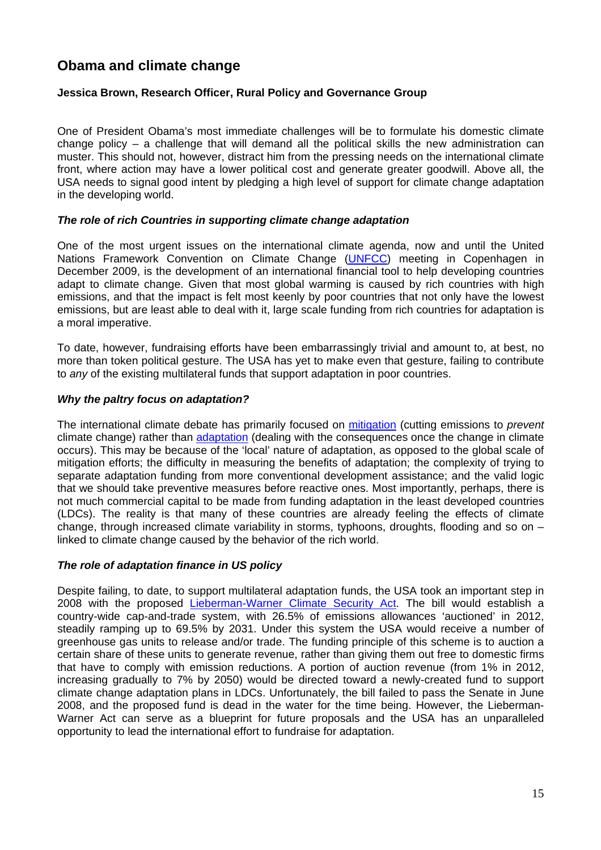# **Obama and climate change**

### **Jessica Brown, Research Officer, Rural Policy and Governance Group**

One of President Obama's most immediate challenges will be to formulate his domestic climate change policy – a challenge that will demand all the political skills the new administration can muster. This should not, however, distract him from the pressing needs on the international climate front, where action may have a lower political cost and generate greater goodwill. Above all, the USA needs to signal good intent by pledging a high level of support for climate change adaptation in the developing world.

#### *The role of rich Countries in supporting climate change adaptation*

One of the most urgent issues on the international climate agenda, now and until the United Nations Framework Convention on Climate Change ([UNFCC](http://unfccc.int/2860.php)) meeting in Copenhagen in December 2009, is the development of an international financial tool to help developing countries adapt to climate change. Given that most global warming is caused by rich countries with high emissions, and that the impact is felt most keenly by poor countries that not only have the lowest emissions, but are least able to deal with it, large scale funding from rich countries for adaptation is a moral imperative.

To date, however, fundraising efforts have been embarrassingly trivial and amount to, at best, no more than token political gesture. The USA has yet to make even that gesture, failing to contribute to *any* of the existing multilateral funds that support adaptation in poor countries.

### *Why the paltry focus on adaptation?*

The international climate debate has primarily focused on [mitigation](http://www.odi.org.uk/resources/details.asp?id=1090&title=mitigating-climate-change-impact-poor) (cutting emissions to *prevent* climate change) rather than [adaptation](http://www.odi.org.uk/resources/details.asp?id=2495&title=climate-change-getting-adaptation-right) (dealing with the consequences once the change in climate occurs). This may be because of the 'local' nature of adaptation, as opposed to the global scale of mitigation efforts; the difficulty in measuring the benefits of adaptation; the complexity of trying to separate adaptation funding from more conventional development assistance; and the valid logic that we should take preventive measures before reactive ones. Most importantly, perhaps, there is not much commercial capital to be made from funding adaptation in the least developed countries (LDCs). The reality is that many of these countries are already feeling the effects of climate change, through increased climate variability in storms, typhoons, droughts, flooding and so on – linked to climate change caused by the behavior of the rich world.

### *The role of adaptation finance in US policy*

Despite failing, to date, to support multilateral adaptation funds, the USA took an important step in 2008 with the proposed [Lieberman-Warner Climate Security Act](http://lieberman.senate.gov/documents/lwcsaonepage.pdf). The bill would establish a country-wide cap-and-trade system, with 26.5% of emissions allowances 'auctioned' in 2012, steadily ramping up to 69.5% by 2031. Under this system the USA would receive a number of greenhouse gas units to release and/or trade. The funding principle of this scheme is to auction a certain share of these units to generate revenue, rather than giving them out free to domestic firms that have to comply with emission reductions. A portion of auction revenue (from 1% in 2012, increasing gradually to 7% by 2050) would be directed toward a newly-created fund to support climate change adaptation plans in LDCs. Unfortunately, the bill failed to pass the Senate in June 2008, and the proposed fund is dead in the water for the time being. However, the Lieberman-Warner Act can serve as a blueprint for future proposals and the USA has an unparalleled opportunity to lead the international effort to fundraise for adaptation.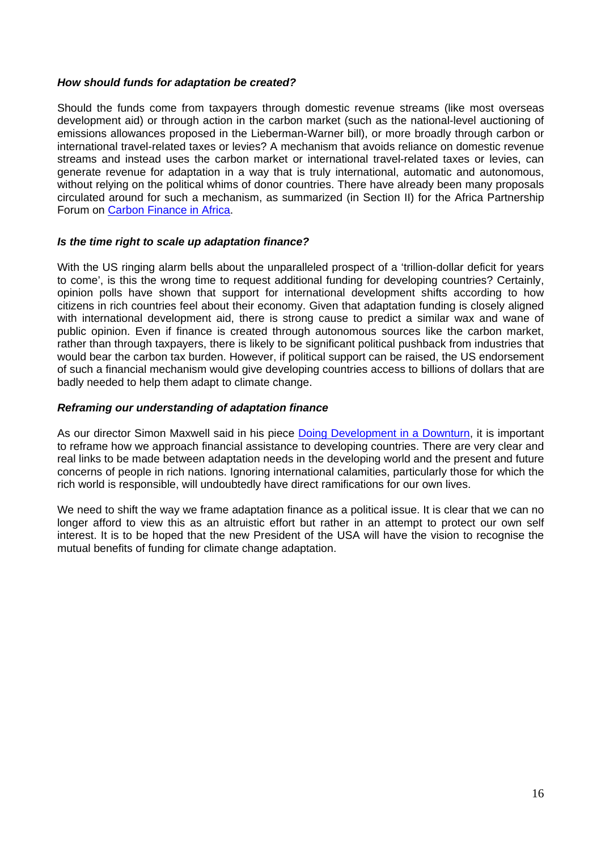### *How should funds for adaptation be created?*

Should the funds come from taxpayers through domestic revenue streams (like most overseas development aid) or through action in the carbon market (such as the national-level auctioning of emissions allowances proposed in the Lieberman-Warner bill), or more broadly through carbon or international travel-related taxes or levies? A mechanism that avoids reliance on domestic revenue streams and instead uses the carbon market or international travel-related taxes or levies, can generate revenue for adaptation in a way that is truly international, automatic and autonomous, without relying on the political whims of donor countries. There have already been many proposals circulated around for such a mechanism, as summarized (in Section II) for the Africa Partnership Forum on [Carbon Finance in Africa.](http://www.oecd.org/dataoecd/63/16/41656313.pdf)

#### *Is the time right to scale up adaptation finance?*

With the US ringing alarm bells about the unparalleled prospect of a 'trillion-dollar deficit for years to come', is this the wrong time to request additional funding for developing countries? Certainly, opinion polls have shown that support for international development shifts according to how citizens in rich countries feel about their economy. Given that adaptation funding is closely aligned with international development aid, there is strong cause to predict a similar wax and wane of public opinion. Even if finance is created through autonomous sources like the carbon market, rather than through taxpayers, there is likely to be significant political pushback from industries that would bear the carbon tax burden. However, if political support can be raised, the US endorsement of such a financial mechanism would give developing countries access to billions of dollars that are badly needed to help them adapt to climate change.

### *Reframing our understanding of adaptation finance*

As our director Simon Maxwell said in his piece [Doing Development in a Downturn](http://www.odi.org.uk/resources/odi-publications/opinions/104-simon-maxwell-development-downturn.pdf), it is important to reframe how we approach financial assistance to developing countries. There are very clear and real links to be made between adaptation needs in the developing world and the present and future concerns of people in rich nations. Ignoring international calamities, particularly those for which the rich world is responsible, will undoubtedly have direct ramifications for our own lives.

We need to shift the way we frame adaptation finance as a political issue. It is clear that we can no longer afford to view this as an altruistic effort but rather in an attempt to protect our own self interest. It is to be hoped that the new President of the USA will have the vision to recognise the mutual benefits of funding for climate change adaptation.